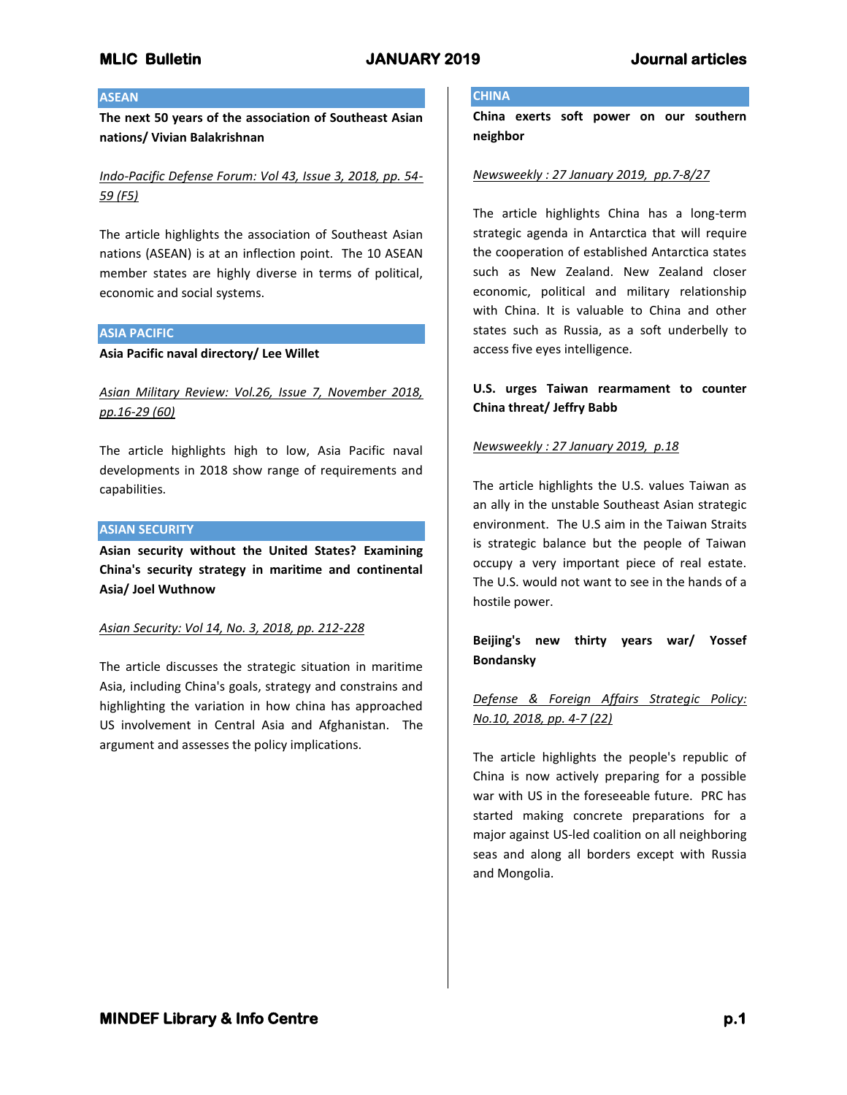## **ASEAN**

**The next 50 years of the association of Southeast Asian nations/ Vivian Balakrishnan**

*Indo-Pacific Defense Forum: Vol 43, Issue 3, 2018, pp. 54- 59 (F5)*

The article highlights the association of Southeast Asian nations (ASEAN) is at an inflection point. The 10 ASEAN member states are highly diverse in terms of political, economic and social systems.

## **ASIA PACIFIC**

**Asia Pacific naval directory/ Lee Willet**

*Asian Military Review: Vol.26, Issue 7, November 2018, pp.16-29 (60)*

The article highlights high to low, Asia Pacific naval developments in 2018 show range of requirements and capabilities.

## **ASIAN SECURITY**

**Asian security without the United States? Examining China's security strategy in maritime and continental Asia/ Joel Wuthnow**

## *Asian Security: Vol 14, No. 3, 2018, pp. 212-228*

The article discusses the strategic situation in maritime Asia, including China's goals, strategy and constrains and highlighting the variation in how china has approached US involvement in Central Asia and Afghanistan. The argument and assesses the policy implications.

## **CHINA**

**China exerts soft power on our southern neighbor**

## *Newsweekly : 27 January 2019, pp.7-8/27*

The article highlights China has a long-term strategic agenda in Antarctica that will require the cooperation of established Antarctica states such as New Zealand. New Zealand closer economic, political and military relationship with China. It is valuable to China and other states such as Russia, as a soft underbelly to access five eyes intelligence.

# **U.S. urges Taiwan rearmament to counter China threat/ Jeffry Babb**

## *Newsweekly : 27 January 2019, p.18*

The article highlights the U.S. values Taiwan as an ally in the unstable Southeast Asian strategic environment. The U.S aim in the Taiwan Straits is strategic balance but the people of Taiwan occupy a very important piece of real estate. The U.S. would not want to see in the hands of a hostile power.

# **Beijing's new thirty years war/ Yossef Bondansky**

# *Defense & Foreign Affairs Strategic Policy: No.10, 2018, pp. 4-7 (22)*

The article highlights the people's republic of China is now actively preparing for a possible war with US in the foreseeable future. PRC has started making concrete preparations for a major against US-led coalition on all neighboring seas and along all borders except with Russia and Mongolia.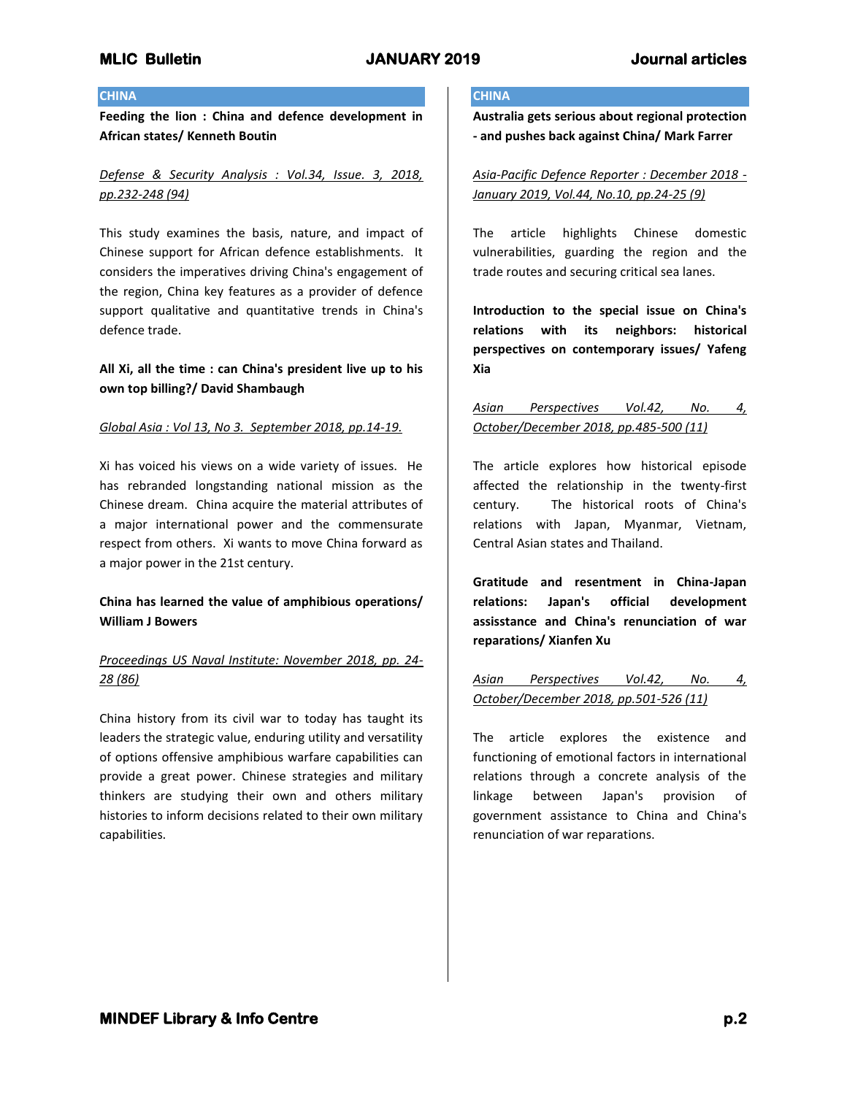## **CHINA**

**Feeding the lion : China and defence development in African states/ Kenneth Boutin**

*Defense & Security Analysis : Vol.34, Issue. 3, 2018, pp.232-248 (94)*

This study examines the basis, nature, and impact of Chinese support for African defence establishments. It considers the imperatives driving China's engagement of the region, China key features as a provider of defence support qualitative and quantitative trends in China's defence trade.

# **All Xi, all the time : can China's president live up to his own top billing?/ David Shambaugh**

## *Global Asia : Vol 13, No 3. September 2018, pp.14-19.*

Xi has voiced his views on a wide variety of issues. He has rebranded longstanding national mission as the Chinese dream. China acquire the material attributes of a major international power and the commensurate respect from others. Xi wants to move China forward as a major power in the 21st century.

# **China has learned the value of amphibious operations/ William J Bowers**

# *Proceedings US Naval Institute: November 2018, pp. 24- 28 (86)*

China history from its civil war to today has taught its leaders the strategic value, enduring utility and versatility of options offensive amphibious warfare capabilities can provide a great power. Chinese strategies and military thinkers are studying their own and others military histories to inform decisions related to their own military capabilities.

# **CHINA**

**Australia gets serious about regional protection - and pushes back against China/ Mark Farrer**

*Asia-Pacific Defence Reporter : December 2018 - January 2019, Vol.44, No.10, pp.24-25 (9)*

The article highlights Chinese domestic vulnerabilities, guarding the region and the trade routes and securing critical sea lanes.

**Introduction to the special issue on China's relations with its neighbors: historical perspectives on contemporary issues/ Yafeng Xia**

*Asian Perspectives Vol.42, No. 4, October/December 2018, pp.485-500 (11)*

The article explores how historical episode affected the relationship in the twenty-first century. The historical roots of China's relations with Japan, Myanmar, Vietnam, Central Asian states and Thailand.

**Gratitude and resentment in China-Japan relations: Japan's official development assisstance and China's renunciation of war reparations/ Xianfen Xu**

*Asian Perspectives Vol.42, No. 4, October/December 2018, pp.501-526 (11)*

The article explores the existence and functioning of emotional factors in international relations through a concrete analysis of the linkage between Japan's provision of government assistance to China and China's renunciation of war reparations.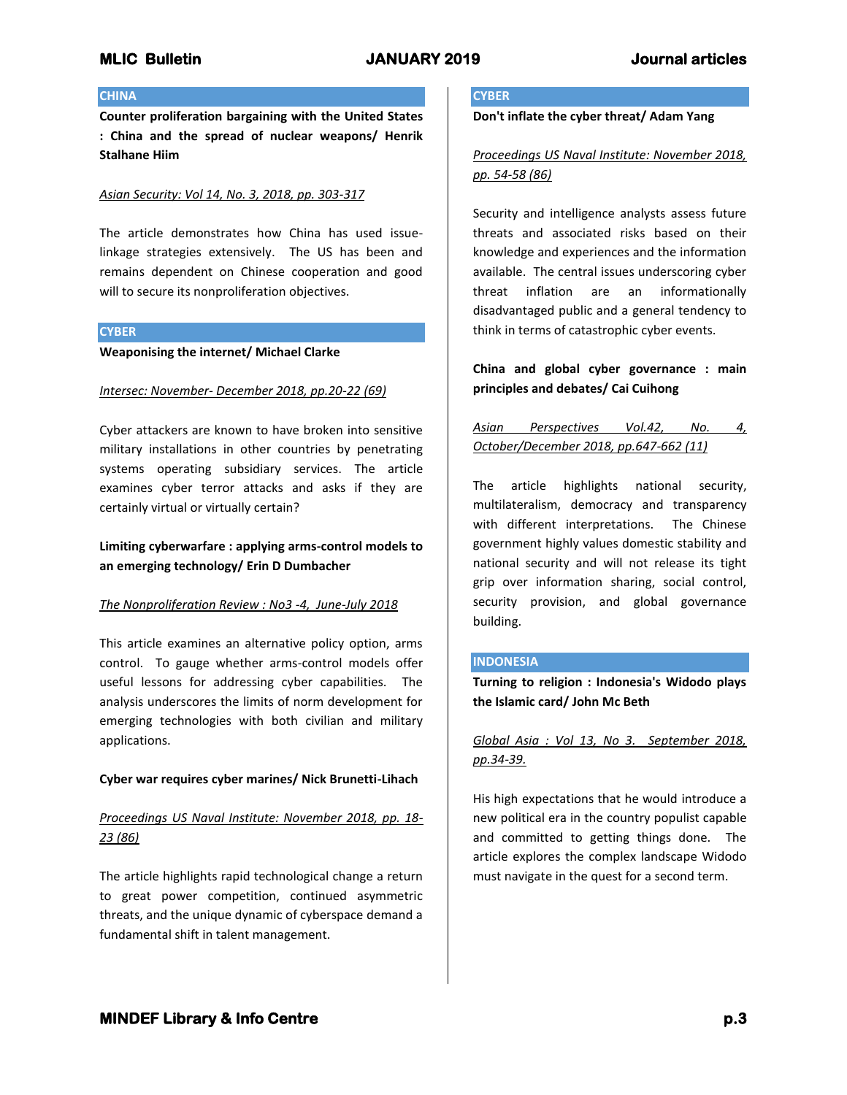## **CHINA**

**Counter proliferation bargaining with the United States : China and the spread of nuclear weapons/ Henrik Stalhane Hiim**

## *Asian Security: Vol 14, No. 3, 2018, pp. 303-317*

The article demonstrates how China has used issuelinkage strategies extensively. The US has been and remains dependent on Chinese cooperation and good will to secure its nonproliferation objectives.

## **CYBER**

## **Weaponising the internet/ Michael Clarke**

## *Intersec: November- December 2018, pp.20-22 (69)*

Cyber attackers are known to have broken into sensitive military installations in other countries by penetrating systems operating subsidiary services. The article examines cyber terror attacks and asks if they are certainly virtual or virtually certain?

# **Limiting cyberwarfare : applying arms-control models to an emerging technology/ Erin D Dumbacher**

## *The Nonproliferation Review : No3 -4, June-July 2018*

This article examines an alternative policy option, arms control. To gauge whether arms-control models offer useful lessons for addressing cyber capabilities. The analysis underscores the limits of norm development for emerging technologies with both civilian and military applications.

## **Cyber war requires cyber marines/ Nick Brunetti-Lihach**

# *Proceedings US Naval Institute: November 2018, pp. 18- 23 (86)*

The article highlights rapid technological change a return to great power competition, continued asymmetric threats, and the unique dynamic of cyberspace demand a fundamental shift in talent management.

## **CYBER**

**Don't inflate the cyber threat/ Adam Yang**

# *Proceedings US Naval Institute: November 2018, pp. 54-58 (86)*

Security and intelligence analysts assess future threats and associated risks based on their knowledge and experiences and the information available. The central issues underscoring cyber threat inflation are an informationally disadvantaged public and a general tendency to think in terms of catastrophic cyber events.

# **China and global cyber governance : main principles and debates/ Cai Cuihong**

# *Asian Perspectives Vol.42, No. 4, October/December 2018, pp.647-662 (11)*

The article highlights national security, multilateralism, democracy and transparency with different interpretations. The Chinese government highly values domestic stability and national security and will not release its tight grip over information sharing, social control, security provision, and global governance building.

## **INDONESIA**

**Turning to religion : Indonesia's Widodo plays the Islamic card/ John Mc Beth**

*Global Asia : Vol 13, No 3. September 2018, pp.34-39.*

His high expectations that he would introduce a new political era in the country populist capable and committed to getting things done. The article explores the complex landscape Widodo must navigate in the quest for a second term.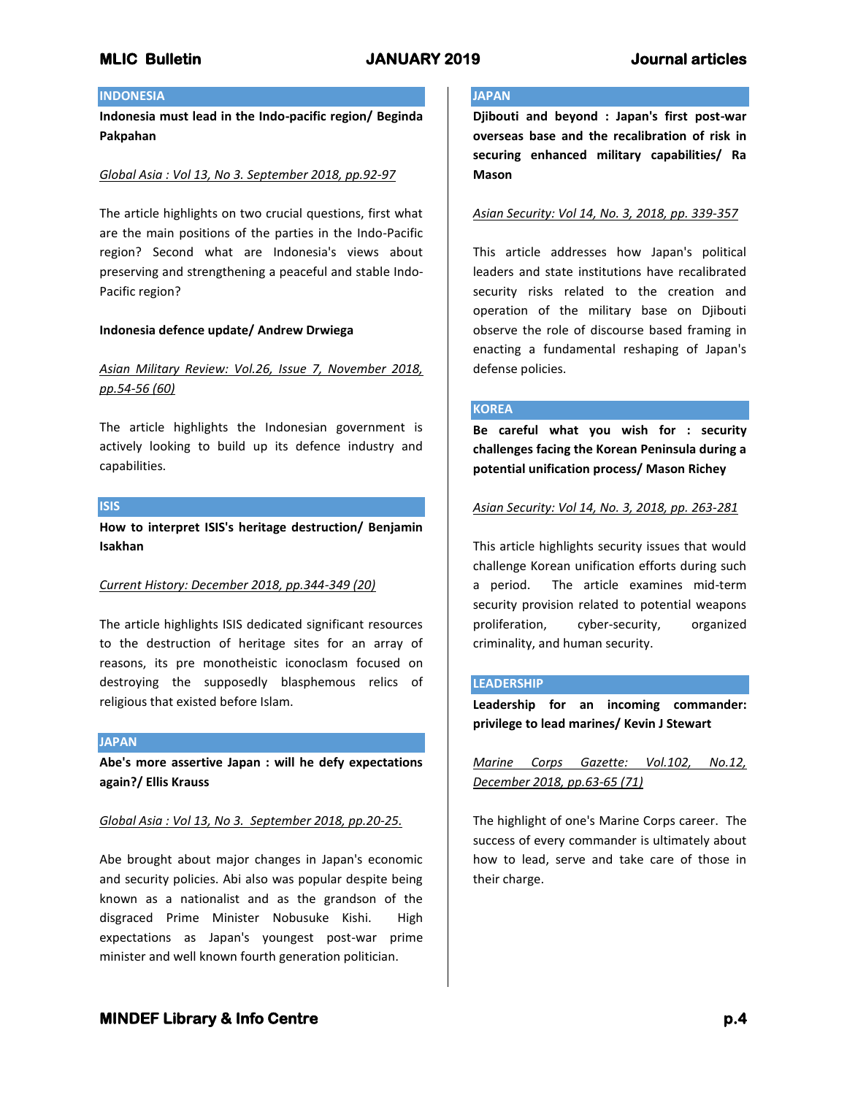## **INDONESIA**

**Indonesia must lead in the Indo-pacific region/ Beginda Pakpahan**

## *Global Asia : Vol 13, No 3. September 2018, pp.92-97*

The article highlights on two crucial questions, first what are the main positions of the parties in the Indo-Pacific region? Second what are Indonesia's views about preserving and strengthening a peaceful and stable Indo-Pacific region?

## **Indonesia defence update/ Andrew Drwiega**

# *Asian Military Review: Vol.26, Issue 7, November 2018, pp.54-56 (60)*

The article highlights the Indonesian government is actively looking to build up its defence industry and capabilities.

### **ISIS**

**How to interpret ISIS's heritage destruction/ Benjamin Isakhan**

## *Current History: December 2018, pp.344-349 (20)*

The article highlights ISIS dedicated significant resources to the destruction of heritage sites for an array of reasons, its pre monotheistic iconoclasm focused on destroying the supposedly blasphemous relics of religious that existed before Islam.

### **JAPAN**

**Abe's more assertive Japan : will he defy expectations again?/ Ellis Krauss**

### *Global Asia : Vol 13, No 3. September 2018, pp.20-25.*

Abe brought about major changes in Japan's economic and security policies. Abi also was popular despite being known as a nationalist and as the grandson of the disgraced Prime Minister Nobusuke Kishi. High expectations as Japan's youngest post-war prime minister and well known fourth generation politician.

## **JAPAN**

**Djibouti and beyond : Japan's first post-war overseas base and the recalibration of risk in securing enhanced military capabilities/ Ra Mason**

## *Asian Security: Vol 14, No. 3, 2018, pp. 339-357*

This article addresses how Japan's political leaders and state institutions have recalibrated security risks related to the creation and operation of the military base on Djibouti observe the role of discourse based framing in enacting a fundamental reshaping of Japan's defense policies.

### **KOREA**

**Be careful what you wish for : security challenges facing the Korean Peninsula during a potential unification process/ Mason Richey**

### *Asian Security: Vol 14, No. 3, 2018, pp. 263-281*

This article highlights security issues that would challenge Korean unification efforts during such a period. The article examines mid-term security provision related to potential weapons proliferation, cyber-security, organized criminality, and human security.

## **LEADERSHIP**

**Leadership for an incoming commander: privilege to lead marines/ Kevin J Stewart**

*Marine Corps Gazette: Vol.102, No.12, December 2018, pp.63-65 (71)*

The highlight of one's Marine Corps career. The success of every commander is ultimately about how to lead, serve and take care of those in their charge.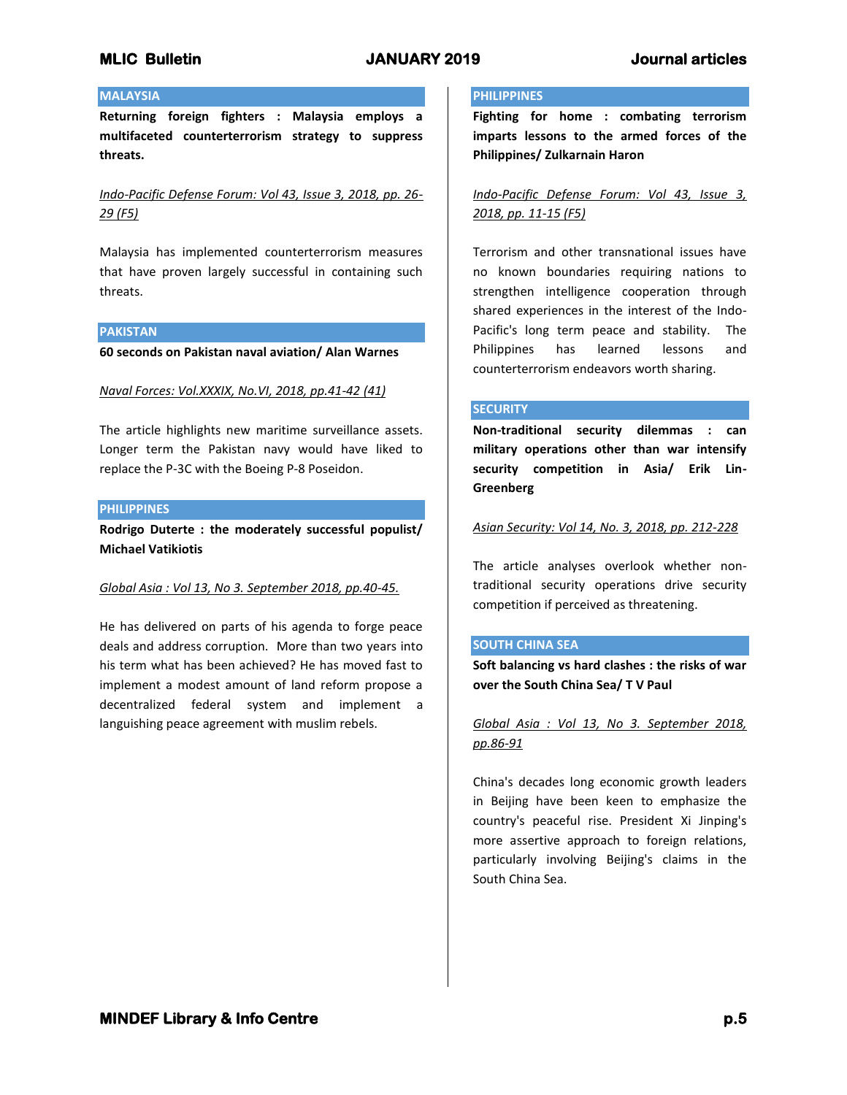# **MLIC Bulletin JANUARY 2019 Journal articles**

## **MALAYSIA**

**Returning foreign fighters : Malaysia employs a multifaceted counterterrorism strategy to suppress threats.**

*Indo-Pacific Defense Forum: Vol 43, Issue 3, 2018, pp. 26- 29 (F5)*

Malaysia has implemented counterterrorism measures that have proven largely successful in containing such threats.

### **PAKISTAN**

**60 seconds on Pakistan naval aviation/ Alan Warnes**

## *Naval Forces: Vol.XXXIX, No.VI, 2018, pp.41-42 (41)*

The article highlights new maritime surveillance assets. Longer term the Pakistan navy would have liked to replace the P-3C with the Boeing P-8 Poseidon.

## **PHILIPPINES**

**Rodrigo Duterte : the moderately successful populist/ Michael Vatikiotis**

## *Global Asia : Vol 13, No 3. September 2018, pp.40-45.*

He has delivered on parts of his agenda to forge peace deals and address corruption. More than two years into his term what has been achieved? He has moved fast to implement a modest amount of land reform propose a decentralized federal system and implement a languishing peace agreement with muslim rebels.

### **PHILIPPINES**

**Fighting for home : combating terrorism imparts lessons to the armed forces of the Philippines/ Zulkarnain Haron**

*Indo-Pacific Defense Forum: Vol 43, Issue 3, 2018, pp. 11-15 (F5)*

Terrorism and other transnational issues have no known boundaries requiring nations to strengthen intelligence cooperation through shared experiences in the interest of the Indo-Pacific's long term peace and stability. The Philippines has learned lessons and counterterrorism endeavors worth sharing.

### **SECURITY**

**Non-traditional security dilemmas : can military operations other than war intensify security competition in Asia/ Erik Lin-Greenberg**

## *Asian Security: Vol 14, No. 3, 2018, pp. 212-228*

The article analyses overlook whether nontraditional security operations drive security competition if perceived as threatening.

## **SOUTH CHINA SEA**

**Soft balancing vs hard clashes : the risks of war over the South China Sea/ T V Paul**

*Global Asia : Vol 13, No 3. September 2018, pp.86-91*

China's decades long economic growth leaders in Beijing have been keen to emphasize the country's peaceful rise. President Xi Jinping's more assertive approach to foreign relations, particularly involving Beijing's claims in the South China Sea.